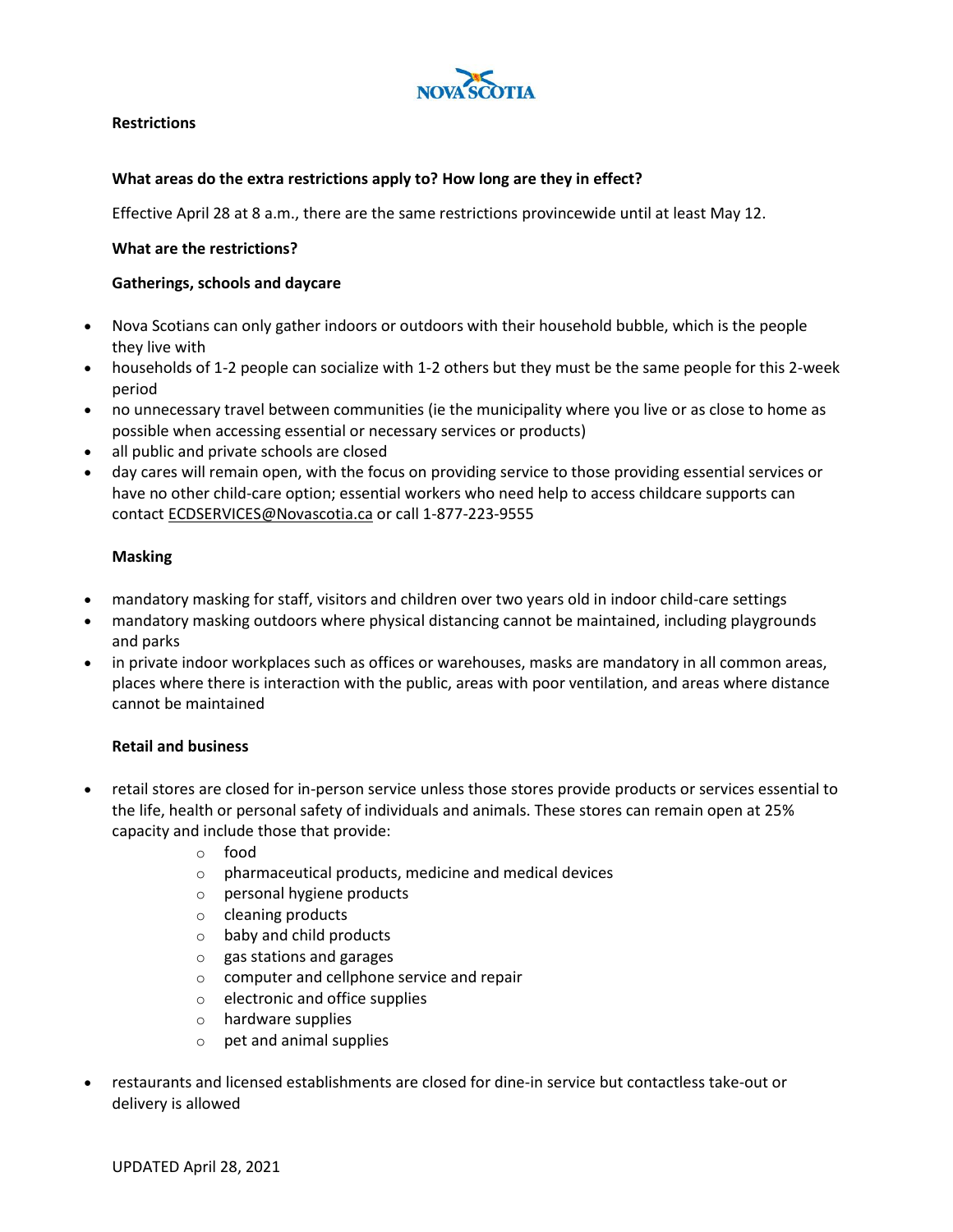

## **Restrictions**

## **What areas do the extra restrictions apply to? How long are they in effect?**

Effective April 28 at 8 a.m., there are the same restrictions provincewide until at least May 12.

#### **What are the restrictions?**

#### **Gatherings, schools and daycare**

- Nova Scotians can only gather indoors or outdoors with their household bubble, which is the people they live with
- households of 1-2 people can socialize with 1-2 others but they must be the same people for this 2-week period
- no unnecessary travel between communities (ie the municipality where you live or as close to home as possible when accessing essential or necessary services or products)
- all public and private schools are closed
- day cares will remain open, with the focus on providing service to those providing essential services or have no other child-care option; essential workers who need help to access childcare supports can contact [ECDSERVICES@Novascotia.ca](mailto:ECDSERVICES@Novascotia.ca) or call 1-877-223-9555

## **Masking**

- mandatory masking for staff, visitors and children over two years old in indoor child-care settings
- mandatory masking outdoors where physical distancing cannot be maintained, including playgrounds and parks
- in private indoor workplaces such as offices or warehouses, masks are mandatory in all common areas, places where there is interaction with the public, areas with poor ventilation, and areas where distance cannot be maintained

#### **Retail and business**

- retail stores are closed for in-person service unless those stores provide products or services essential to the life, health or personal safety of individuals and animals. These stores can remain open at 25% capacity and include those that provide:
	- o food
	- o pharmaceutical products, medicine and medical devices
	- o personal hygiene products
	- o cleaning products
	- $\circ$  baby and child products
	- o gas stations and garages
	- o computer and cellphone service and repair
	- o electronic and office supplies
	- o hardware supplies
	- o pet and animal supplies
- restaurants and licensed establishments are closed for dine-in service but contactless take-out or delivery is allowed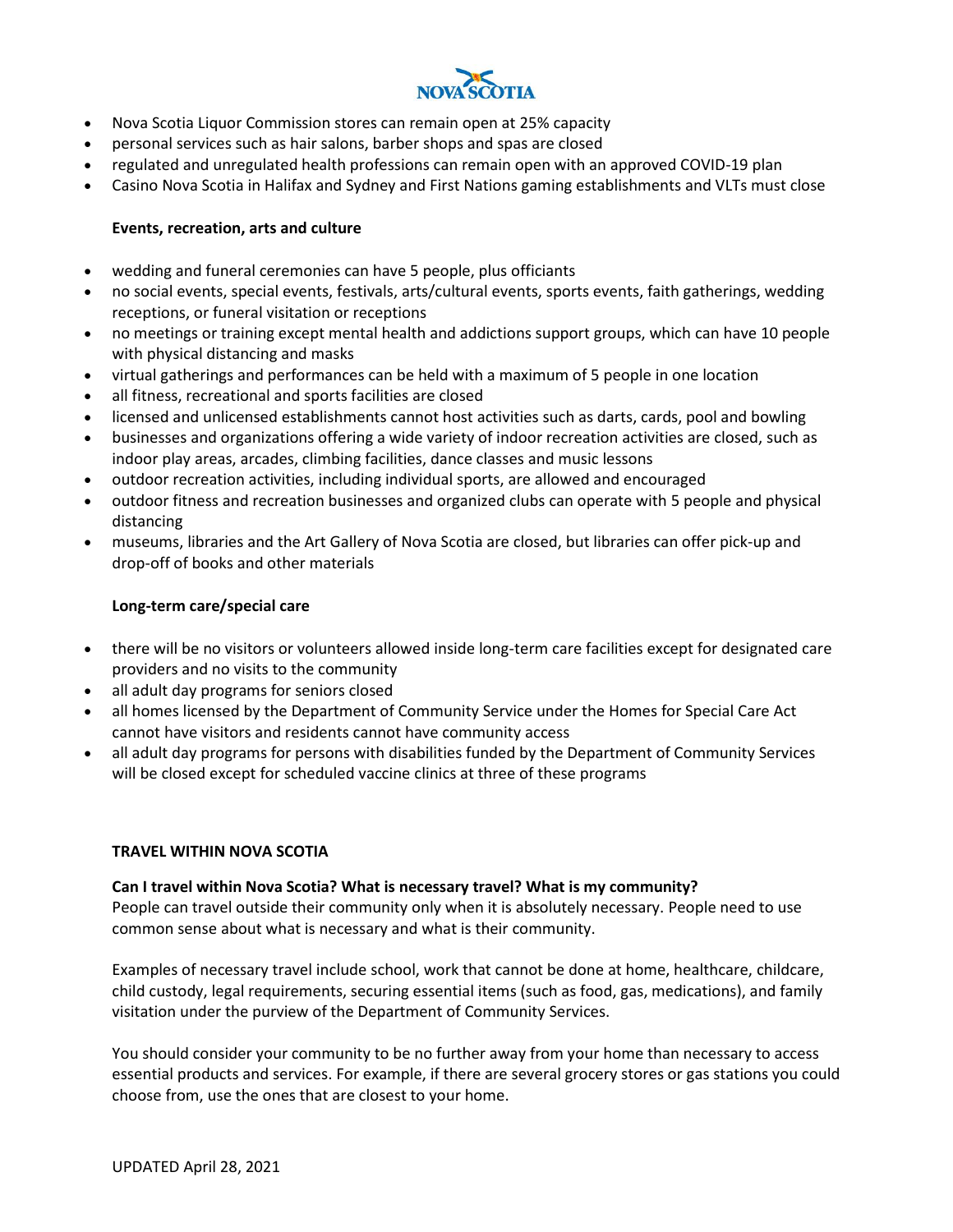

- Nova Scotia Liquor Commission stores can remain open at 25% capacity
- personal services such as hair salons, barber shops and spas are closed
- regulated and unregulated health professions can remain open with an approved COVID-19 plan
- Casino Nova Scotia in Halifax and Sydney and First Nations gaming establishments and VLTs must close

# **Events, recreation, arts and culture**

- wedding and funeral ceremonies can have 5 people, plus officiants
- no social events, special events, festivals, arts/cultural events, sports events, faith gatherings, wedding receptions, or funeral visitation or receptions
- no meetings or training except mental health and addictions support groups, which can have 10 people with physical distancing and masks
- virtual gatherings and performances can be held with a maximum of 5 people in one location
- all fitness, recreational and sports facilities are closed
- licensed and unlicensed establishments cannot host activities such as darts, cards, pool and bowling
- businesses and organizations offering a wide variety of indoor recreation activities are closed, such as indoor play areas, arcades, climbing facilities, dance classes and music lessons
- outdoor recreation activities, including individual sports, are allowed and encouraged
- outdoor fitness and recreation businesses and organized clubs can operate with 5 people and physical distancing
- museums, libraries and the Art Gallery of Nova Scotia are closed, but libraries can offer pick-up and drop-off of books and other materials

# **Long-term care/special care**

- there will be no visitors or volunteers allowed inside long-term care facilities except for designated care providers and no visits to the community
- all adult day programs for seniors closed
- all homes licensed by the Department of Community Service under the Homes for Special Care Act cannot have visitors and residents cannot have community access
- all adult day programs for persons with disabilities funded by the Department of Community Services will be closed except for scheduled vaccine clinics at three of these programs

## **TRAVEL WITHIN NOVA SCOTIA**

## **Can I travel within Nova Scotia? What is necessary travel? What is my community?**

People can travel outside their community only when it is absolutely necessary. People need to use common sense about what is necessary and what is their community.

Examples of necessary travel include school, work that cannot be done at home, healthcare, childcare, child custody, legal requirements, securing essential items (such as food, gas, medications), and family visitation under the purview of the Department of Community Services.

You should consider your community to be no further away from your home than necessary to access essential products and services. For example, if there are several grocery stores or gas stations you could choose from, use the ones that are closest to your home.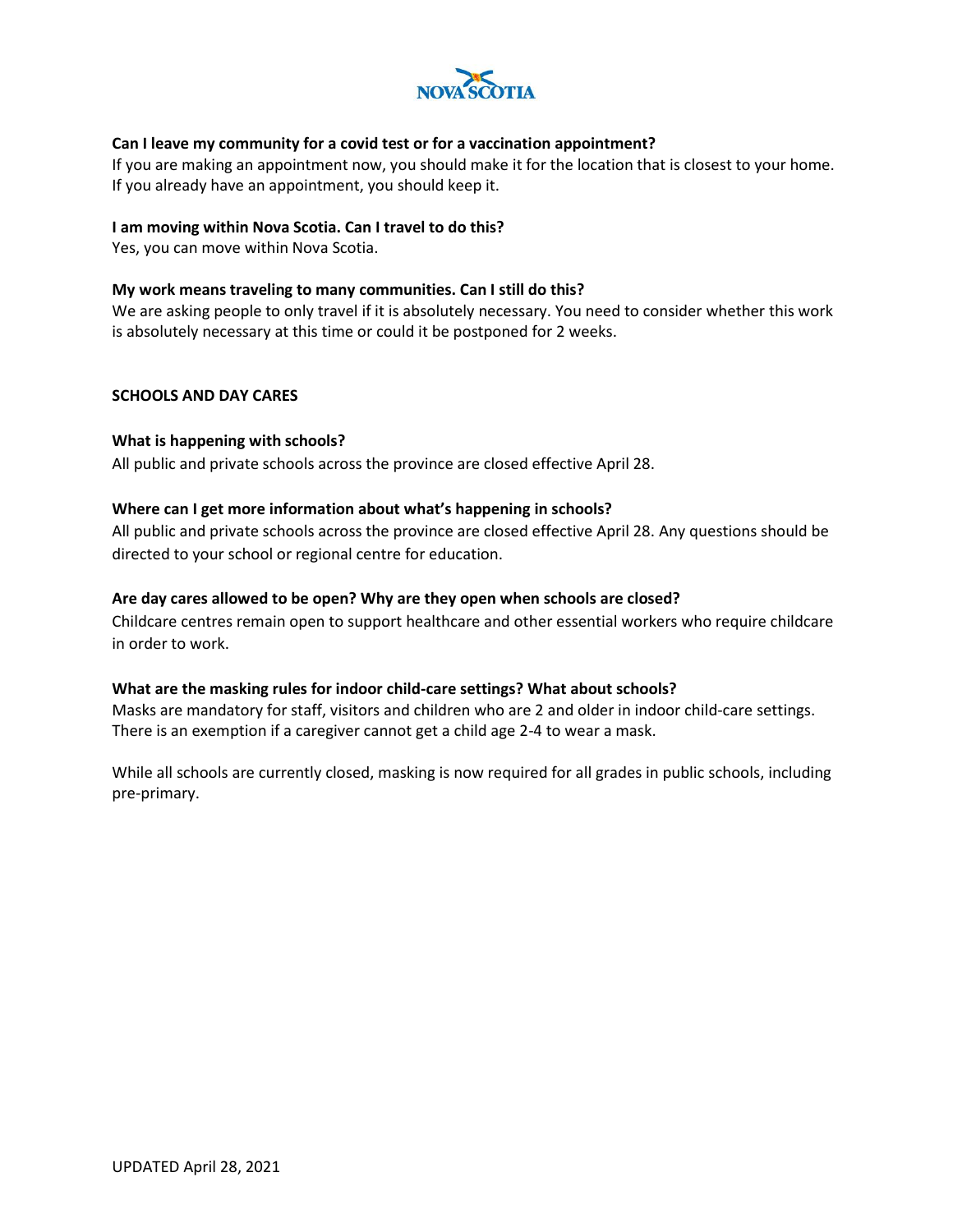

## **Can I leave my community for a covid test or for a vaccination appointment?**

If you are making an appointment now, you should make it for the location that is closest to your home. If you already have an appointment, you should keep it.

#### **I am moving within Nova Scotia. Can I travel to do this?**

Yes, you can move within Nova Scotia.

## **My work means traveling to many communities. Can I still do this?**

We are asking people to only travel if it is absolutely necessary. You need to consider whether this work is absolutely necessary at this time or could it be postponed for 2 weeks.

## **SCHOOLS AND DAY CARES**

## **What is happening with schools?**

All public and private schools across the province are closed effective April 28.

## **Where can I get more information about what's happening in schools?**

All public and private schools across the province are closed effective April 28. Any questions should be directed to your school or regional centre for education.

## **Are day cares allowed to be open? Why are they open when schools are closed?**

Childcare centres remain open to support healthcare and other essential workers who require childcare in order to work.

#### **What are the masking rules for indoor child-care settings? What about schools?**

Masks are mandatory for staff, visitors and children who are 2 and older in indoor child-care settings. There is an exemption if a caregiver cannot get a child age 2-4 to wear a mask.

While all schools are currently closed, masking is now required for all grades in public schools, including pre-primary.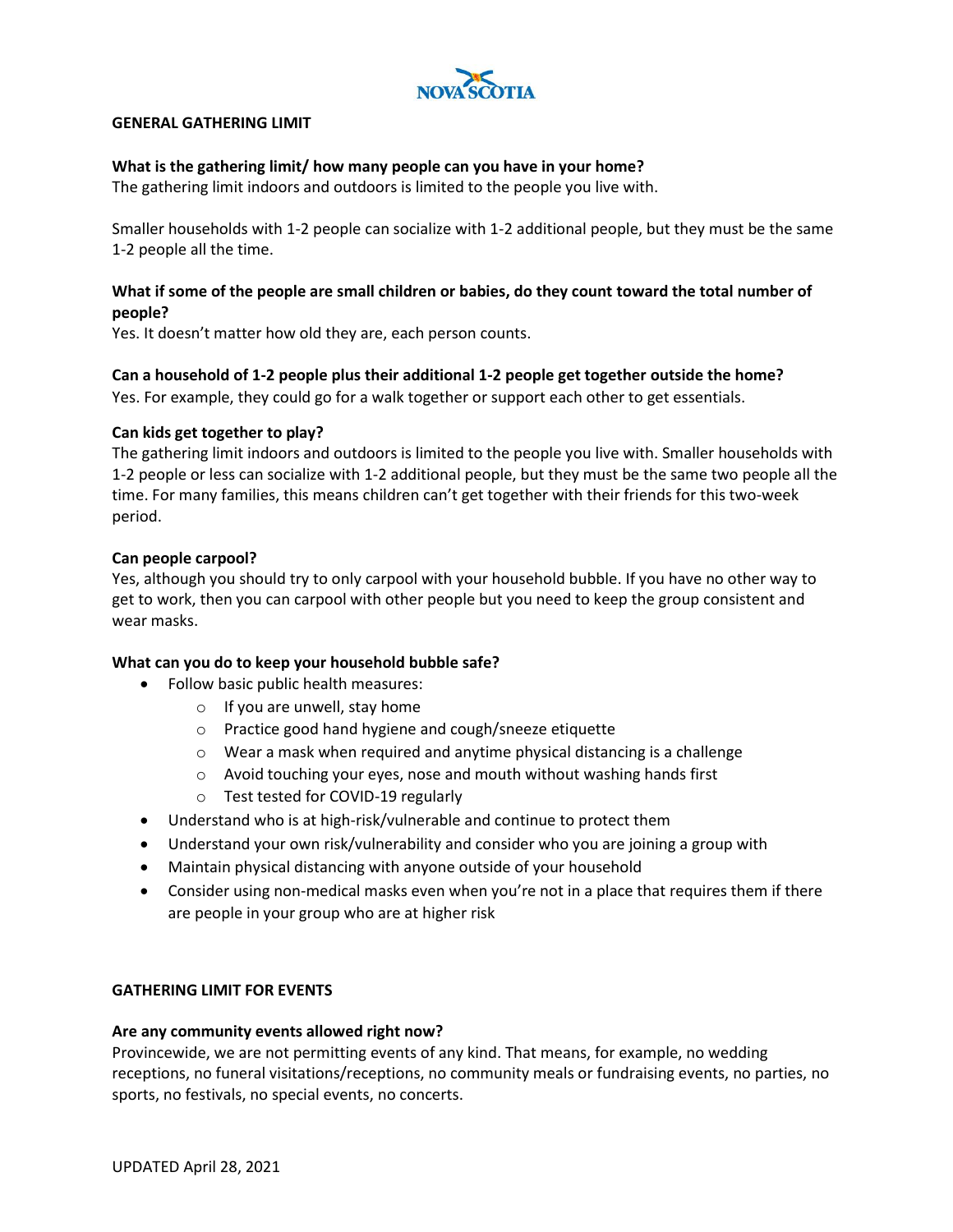

## **GENERAL GATHERING LIMIT**

## **What is the gathering limit/ how many people can you have in your home?**

The gathering limit indoors and outdoors is limited to the people you live with.

Smaller households with 1-2 people can socialize with 1-2 additional people, but they must be the same 1-2 people all the time.

# **What if some of the people are small children or babies, do they count toward the total number of people?**

Yes. It doesn't matter how old they are, each person counts.

## **Can a household of 1-2 people plus their additional 1-2 people get together outside the home?**

Yes. For example, they could go for a walk together or support each other to get essentials.

## **Can kids get together to play?**

The gathering limit indoors and outdoors is limited to the people you live with. Smaller households with 1-2 people or less can socialize with 1-2 additional people, but they must be the same two people all the time. For many families, this means children can't get together with their friends for this two-week period.

## **Can people carpool?**

Yes, although you should try to only carpool with your household bubble. If you have no other way to get to work, then you can carpool with other people but you need to keep the group consistent and wear masks.

## **What can you do to keep your household bubble safe?**

- Follow basic public health measures:
	- $\circ$  If you are unwell, stay home
		- o Practice good hand hygiene and cough/sneeze etiquette
		- o Wear a mask when required and anytime physical distancing is a challenge
		- o Avoid touching your eyes, nose and mouth without washing hands first
		- o Test tested for COVID-19 regularly
- Understand who is at high-risk/vulnerable and continue to protect them
- Understand your own risk/vulnerability and consider who you are joining a group with
- Maintain physical distancing with anyone outside of your household
- Consider using non-medical masks even when you're not in a place that requires them if there are people in your group who are at higher risk

#### **GATHERING LIMIT FOR EVENTS**

#### **Are any community events allowed right now?**

Provincewide, we are not permitting events of any kind. That means, for example, no wedding receptions, no funeral visitations/receptions, no community meals or fundraising events, no parties, no sports, no festivals, no special events, no concerts.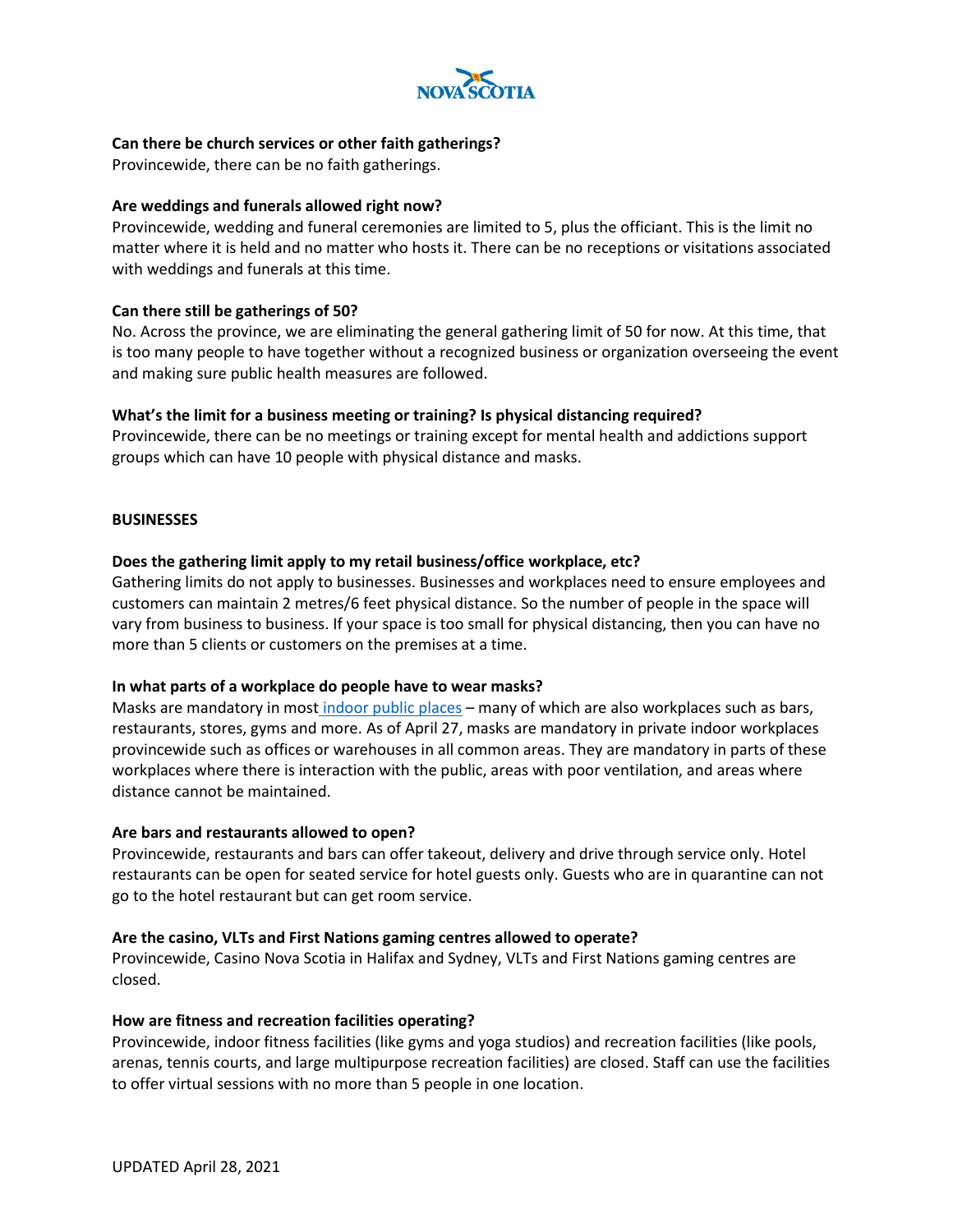

## **Can there be church services or other faith gatherings?**

Provincewide, there can be no faith gatherings.

#### **Are weddings and funerals allowed right now?**

Provincewide, wedding and funeral ceremonies are limited to 5, plus the officiant. This is the limit no matter where it is held and no matter who hosts it. There can be no receptions or visitations associated with weddings and funerals at this time.

#### **Can there still be gatherings of 50?**

No. Across the province, we are eliminating the general gathering limit of 50 for now. At this time, that is too many people to have together without a recognized business or organization overseeing the event and making sure public health measures are followed.

## **What's the limit for a business meeting or training? Is physical distancing required?**

Provincewide, there can be no meetings or training except for mental health and addictions support groups which can have 10 people with physical distance and masks.

#### **BUSINESSES**

## **Does the gathering limit apply to my retail business/office workplace, etc?**

Gathering limits do not apply to businesses. Businesses and workplaces need to ensure employees and customers can maintain 2 metres/6 feet physical distance. So the number of people in the space will vary from business to business. If your space is too small for physical distancing, then you can have no more than 5 clients or customers on the premises at a time.

#### **In what parts of a workplace do people have to wear masks?**

Masks are mandatory in most [indoor public places](https://novascotia.ca/coronavirus/masks/) – many of which are also workplaces such as bars, restaurants, stores, gyms and more. As of April 27, masks are mandatory in private indoor workplaces provincewide such as offices or warehouses in all common areas. They are mandatory in parts of these workplaces where there is interaction with the public, areas with poor ventilation, and areas where distance cannot be maintained.

#### **Are bars and restaurants allowed to open?**

Provincewide, restaurants and bars can offer takeout, delivery and drive through service only. Hotel restaurants can be open for seated service for hotel guests only. Guests who are in quarantine can not go to the hotel restaurant but can get room service.

#### **Are the casino, VLTs and First Nations gaming centres allowed to operate?**

Provincewide, Casino Nova Scotia in Halifax and Sydney, VLTs and First Nations gaming centres are closed.

#### **How are fitness and recreation facilities operating?**

Provincewide, indoor fitness facilities (like gyms and yoga studios) and recreation facilities (like pools, arenas, tennis courts, and large multipurpose recreation facilities) are closed. Staff can use the facilities to offer virtual sessions with no more than 5 people in one location.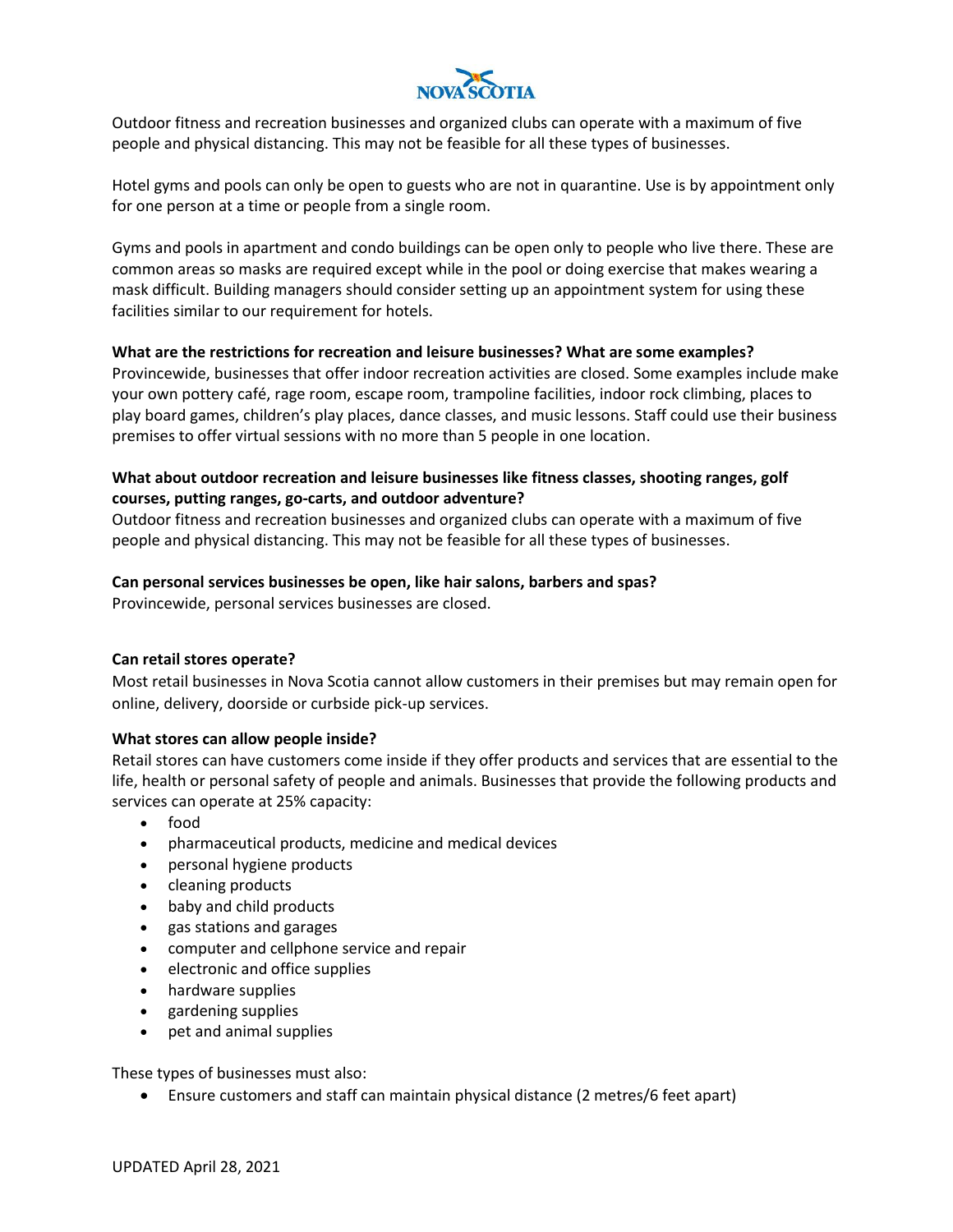

Outdoor fitness and recreation businesses and organized clubs can operate with a maximum of five people and physical distancing. This may not be feasible for all these types of businesses.

Hotel gyms and pools can only be open to guests who are not in quarantine. Use is by appointment only for one person at a time or people from a single room.

Gyms and pools in apartment and condo buildings can be open only to people who live there. These are common areas so masks are required except while in the pool or doing exercise that makes wearing a mask difficult. Building managers should consider setting up an appointment system for using these facilities similar to our requirement for hotels.

## **What are the restrictions for recreation and leisure businesses? What are some examples?**

Provincewide, businesses that offer indoor recreation activities are closed. Some examples include make your own pottery café, rage room, escape room, trampoline facilities, indoor rock climbing, places to play board games, children's play places, dance classes, and music lessons. Staff could use their business premises to offer virtual sessions with no more than 5 people in one location.

# **What about outdoor recreation and leisure businesses like fitness classes, shooting ranges, golf courses, putting ranges, go-carts, and outdoor adventure?**

Outdoor fitness and recreation businesses and organized clubs can operate with a maximum of five people and physical distancing. This may not be feasible for all these types of businesses.

## **Can personal services businesses be open, like hair salons, barbers and spas?**

Provincewide, personal services businesses are closed.

#### **Can retail stores operate?**

Most retail businesses in Nova Scotia cannot allow customers in their premises but may remain open for online, delivery, doorside or curbside pick-up services.

#### **What stores can allow people inside?**

Retail stores can have customers come inside if they offer products and services that are essential to the life, health or personal safety of people and animals. Businesses that provide the following products and services can operate at 25% capacity:

- food
- pharmaceutical products, medicine and medical devices
- personal hygiene products
- cleaning products
- baby and child products
- gas stations and garages
- computer and cellphone service and repair
- electronic and office supplies
- hardware supplies
- gardening supplies
- pet and animal supplies

These types of businesses must also:

• Ensure customers and staff can maintain physical distance (2 metres/6 feet apart)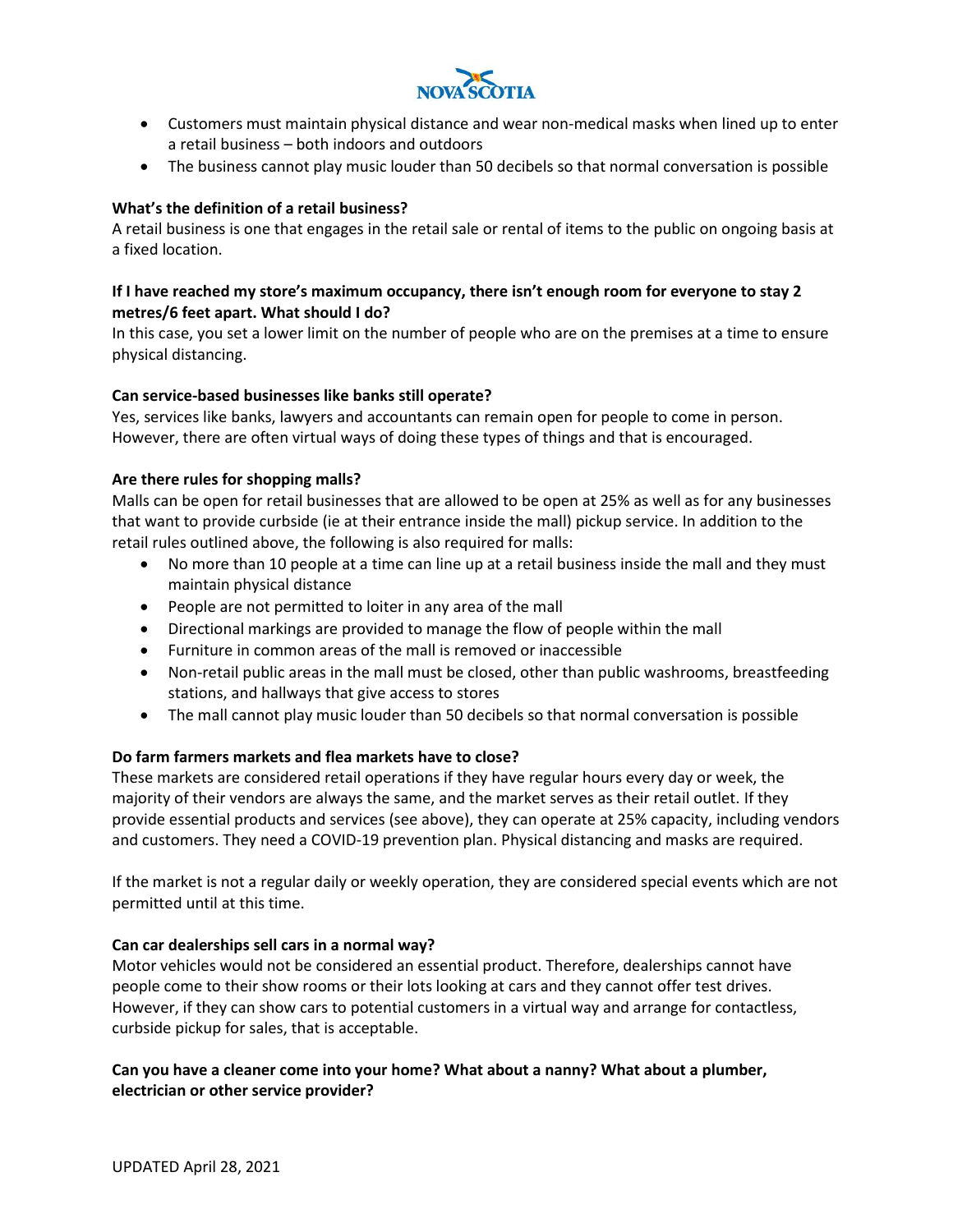

- Customers must maintain physical distance and wear non-medical masks when lined up to enter a retail business – both indoors and outdoors
- The business cannot play music louder than 50 decibels so that normal conversation is possible

## **What's the definition of a retail business?**

A retail business is one that engages in the retail sale or rental of items to the public on ongoing basis at a fixed location.

# **If I have reached my store's maximum occupancy, there isn't enough room for everyone to stay 2 metres/6 feet apart. What should I do?**

In this case, you set a lower limit on the number of people who are on the premises at a time to ensure physical distancing.

## **Can service-based businesses like banks still operate?**

Yes, services like banks, lawyers and accountants can remain open for people to come in person. However, there are often virtual ways of doing these types of things and that is encouraged.

# **Are there rules for shopping malls?**

Malls can be open for retail businesses that are allowed to be open at 25% as well as for any businesses that want to provide curbside (ie at their entrance inside the mall) pickup service. In addition to the retail rules outlined above, the following is also required for malls:

- No more than 10 people at a time can line up at a retail business inside the mall and they must maintain physical distance
- People are not permitted to loiter in any area of the mall
- Directional markings are provided to manage the flow of people within the mall
- Furniture in common areas of the mall is removed or inaccessible
- Non-retail public areas in the mall must be closed, other than public washrooms, breastfeeding stations, and hallways that give access to stores
- The mall cannot play music louder than 50 decibels so that normal conversation is possible

## **Do farm farmers markets and flea markets have to close?**

These markets are considered retail operations if they have regular hours every day or week, the majority of their vendors are always the same, and the market serves as their retail outlet. If they provide essential products and services (see above), they can operate at 25% capacity, including vendors and customers. They need a COVID-19 prevention plan. Physical distancing and masks are required.

If the market is not a regular daily or weekly operation, they are considered special events which are not permitted until at this time.

## **Can car dealerships sell cars in a normal way?**

Motor vehicles would not be considered an essential product. Therefore, dealerships cannot have people come to their show rooms or their lots looking at cars and they cannot offer test drives. However, if they can show cars to potential customers in a virtual way and arrange for contactless, curbside pickup for sales, that is acceptable.

# **Can you have a cleaner come into your home? What about a nanny? What about a plumber, electrician or other service provider?**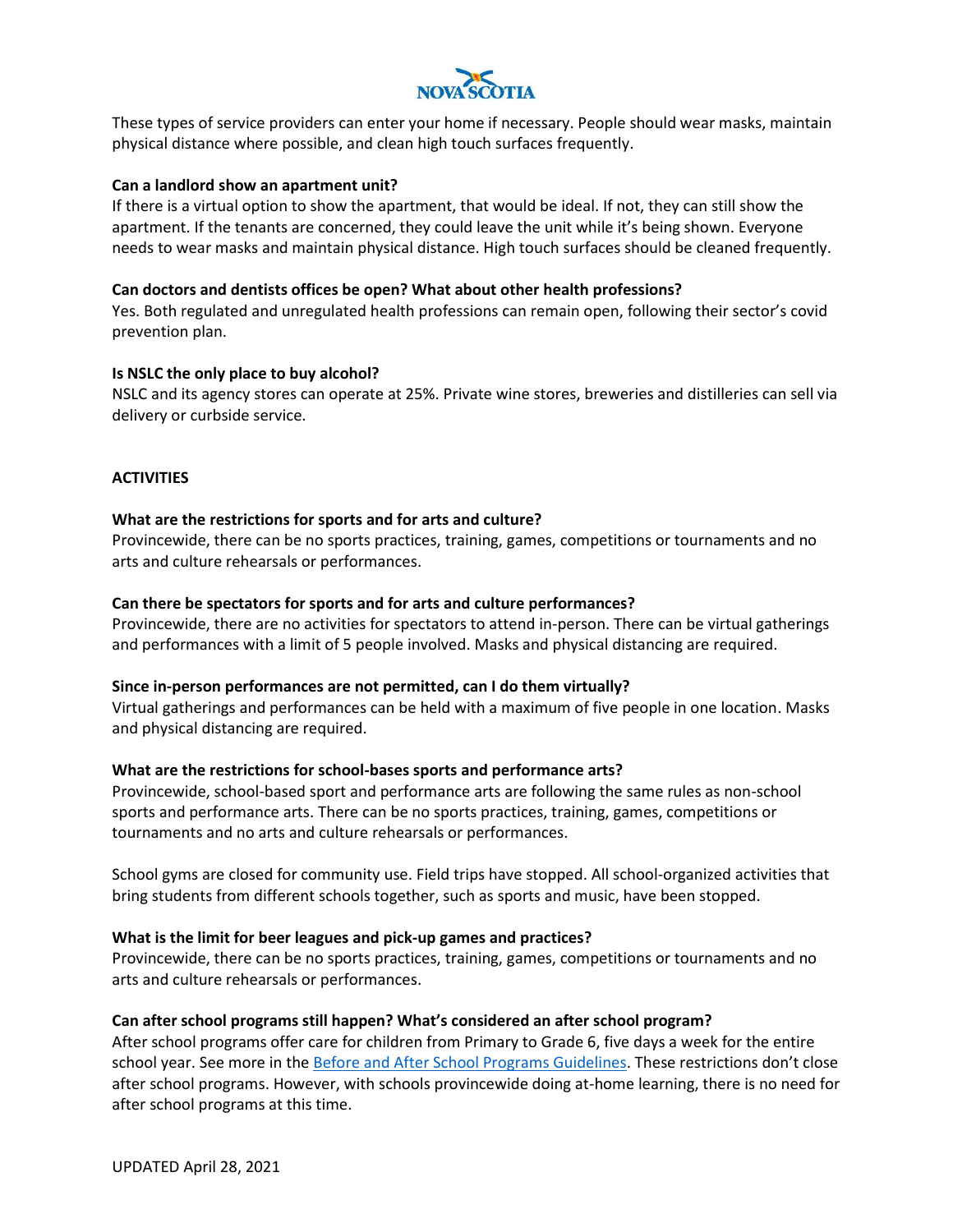

These types of service providers can enter your home if necessary. People should wear masks, maintain physical distance where possible, and clean high touch surfaces frequently.

#### **Can a landlord show an apartment unit?**

If there is a virtual option to show the apartment, that would be ideal. If not, they can still show the apartment. If the tenants are concerned, they could leave the unit while it's being shown. Everyone needs to wear masks and maintain physical distance. High touch surfaces should be cleaned frequently.

## **Can doctors and dentists offices be open? What about other health professions?**

Yes. Both regulated and unregulated health professions can remain open, following their sector's covid prevention plan.

## **Is NSLC the only place to buy alcohol?**

NSLC and its agency stores can operate at 25%. Private wine stores, breweries and distilleries can sell via delivery or curbside service.

## **ACTIVITIES**

## **What are the restrictions for sports and for arts and culture?**

Provincewide, there can be no sports practices, training, games, competitions or tournaments and no arts and culture rehearsals or performances.

## **Can there be spectators for sports and for arts and culture performances?**

Provincewide, there are no activities for spectators to attend in-person. There can be virtual gatherings and performances with a limit of 5 people involved. Masks and physical distancing are required.

#### **Since in-person performances are not permitted, can I do them virtually?**

Virtual gatherings and performances can be held with a maximum of five people in one location. Masks and physical distancing are required.

#### **What are the restrictions for school-bases sports and performance arts?**

Provincewide, school-based sport and performance arts are following the same rules as non-school sports and performance arts. There can be no sports practices, training, games, competitions or tournaments and no arts and culture rehearsals or performances.

School gyms are closed for community use. Field trips have stopped. All school-organized activities that bring students from different schools together, such as sports and music, have been stopped.

#### **What is the limit for beer leagues and pick-up games and practices?**

Provincewide, there can be no sports practices, training, games, competitions or tournaments and no arts and culture rehearsals or performances.

#### **Can after school programs still happen? What's considered an after school program?**

After school programs offer care for children from Primary to Grade 6, five days a week for the entire school year. See more in the [Before and After School Programs Guidelines.](https://novascotia.ca/coronavirus/docs/COVID-19-Public-Health-Guidance-for-Before-and-After-School-Programs-2020-21.pdf) These restrictions don't close after school programs. However, with schools provincewide doing at-home learning, there is no need for after school programs at this time.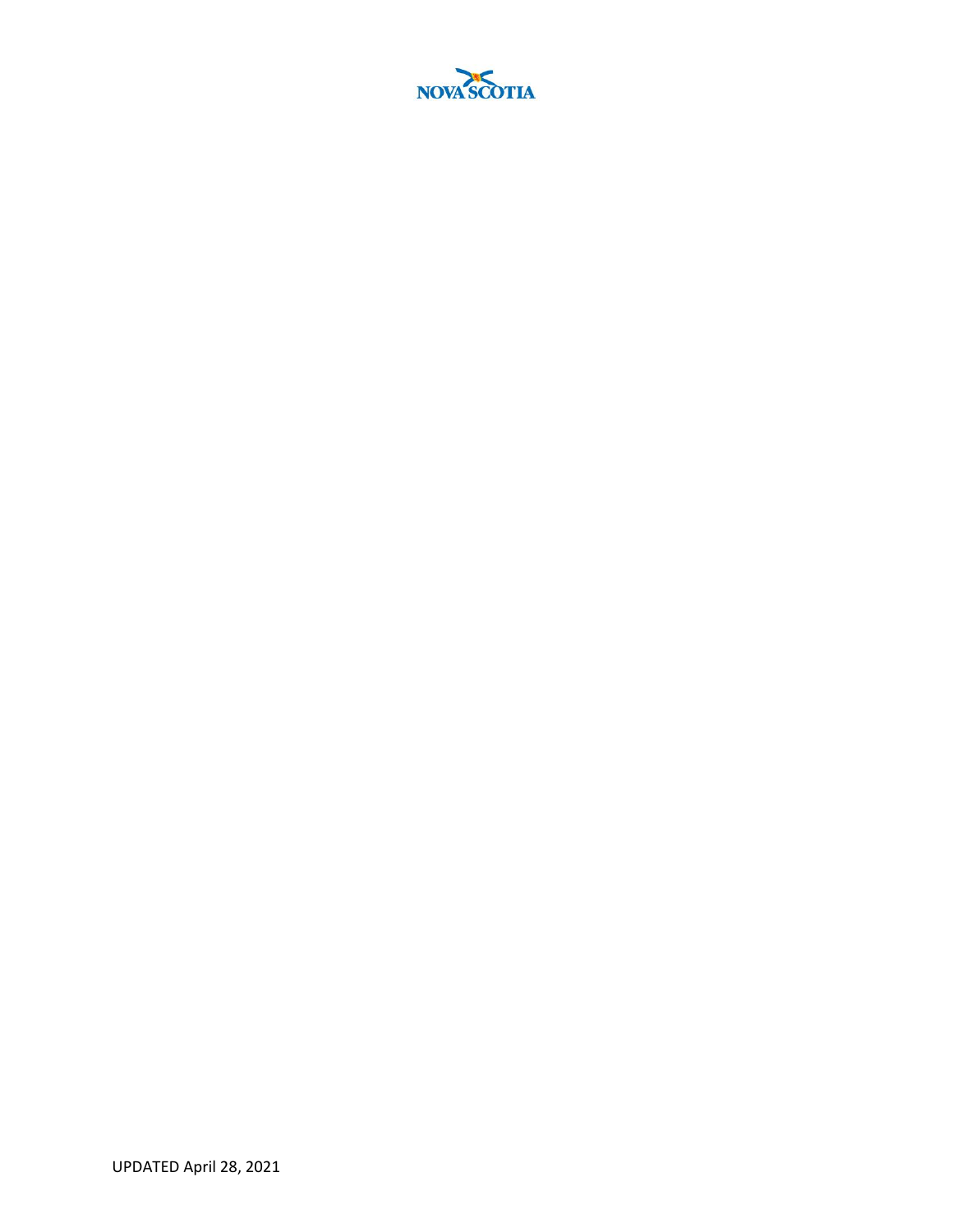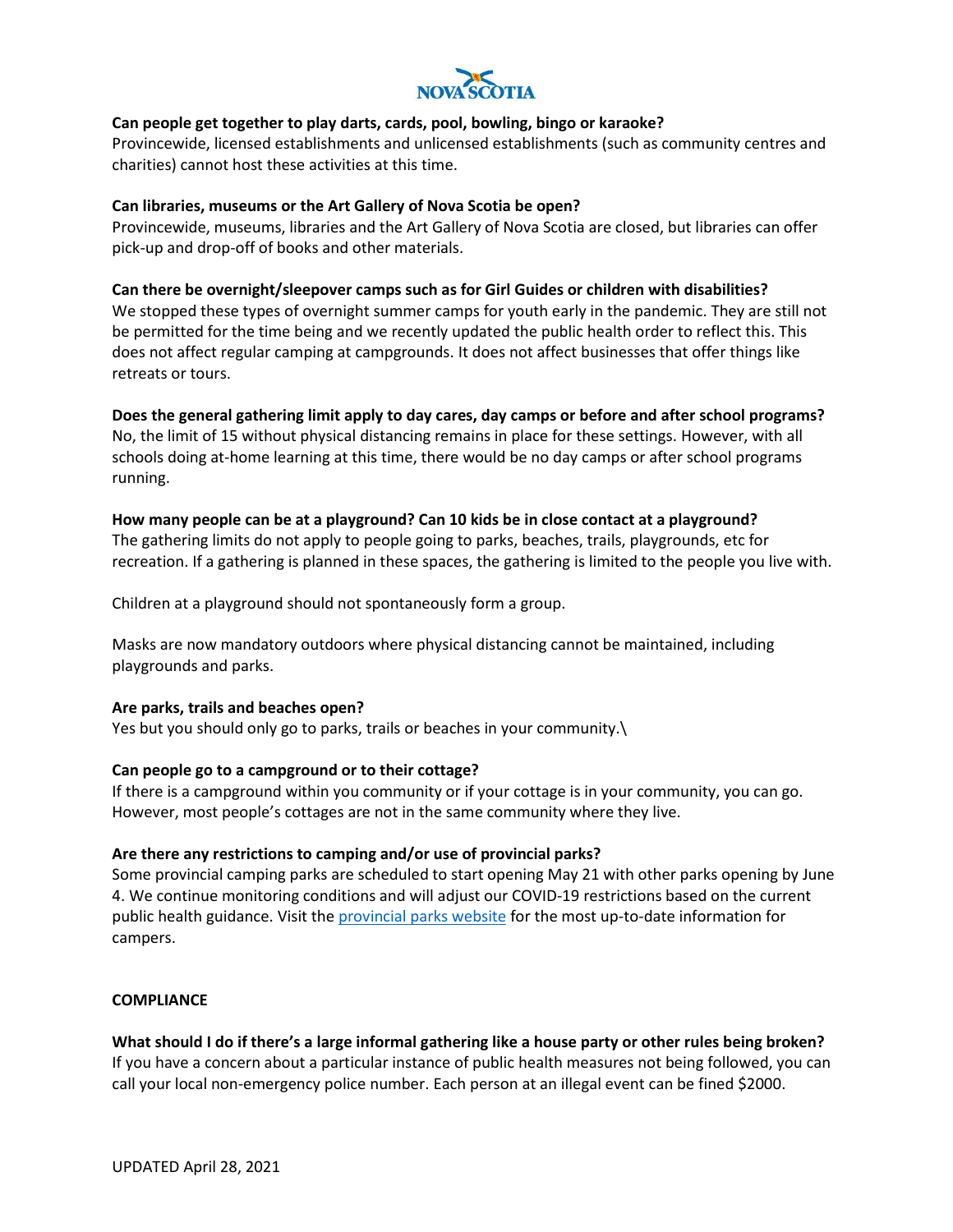

## **Can people get together to play darts, cards, pool, bowling, bingo or karaoke?**

Provincewide, licensed establishments and unlicensed establishments (such as community centres and charities) cannot host these activities at this time.

#### **Can libraries, museums or the Art Gallery of Nova Scotia be open?**

Provincewide, museums, libraries and the Art Gallery of Nova Scotia are closed, but libraries can offer pick-up and drop-off of books and other materials.

#### **Can there be overnight/sleepover camps such as for Girl Guides or children with disabilities?**

We stopped these types of overnight summer camps for youth early in the pandemic. They are still not be permitted for the time being and we recently updated the public health order to reflect this. This does not affect regular camping at campgrounds. It does not affect businesses that offer things like retreats or tours.

# **Does the general gathering limit apply to day cares, day camps or before and after school programs?**

No, the limit of 15 without physical distancing remains in place for these settings. However, with all schools doing at-home learning at this time, there would be no day camps or after school programs running.

## **How many people can be at a playground? Can 10 kids be in close contact at a playground?**

The gathering limits do not apply to people going to parks, beaches, trails, playgrounds, etc for recreation. If a gathering is planned in these spaces, the gathering is limited to the people you live with.

Children at a playground should not spontaneously form a group.

Masks are now mandatory outdoors where physical distancing cannot be maintained, including playgrounds and parks.

#### **Are parks, trails and beaches open?**

Yes but you should only go to parks, trails or beaches in your community.

## **Can people go to a campground or to their cottage?**

If there is a campground within you community or if your cottage is in your community, you can go. However, most people's cottages are not in the same community where they live.

#### **Are there any restrictions to camping and/or use of provincial parks?**

Some provincial camping parks are scheduled to start opening May 21 with other parks opening by June 4. We continue monitoring conditions and will adjust our COVID-19 restrictions based on the current public health guidance. Visit th[e provincial parks website](https://parks.novascotia.ca/) for the most up-to-date information for campers.

#### **COMPLIANCE**

**What should I do if there's a large informal gathering like a house party or other rules being broken?** If you have a concern about a particular instance of public health measures not being followed, you can call your local non-emergency police number. Each person at an illegal event can be fined \$2000.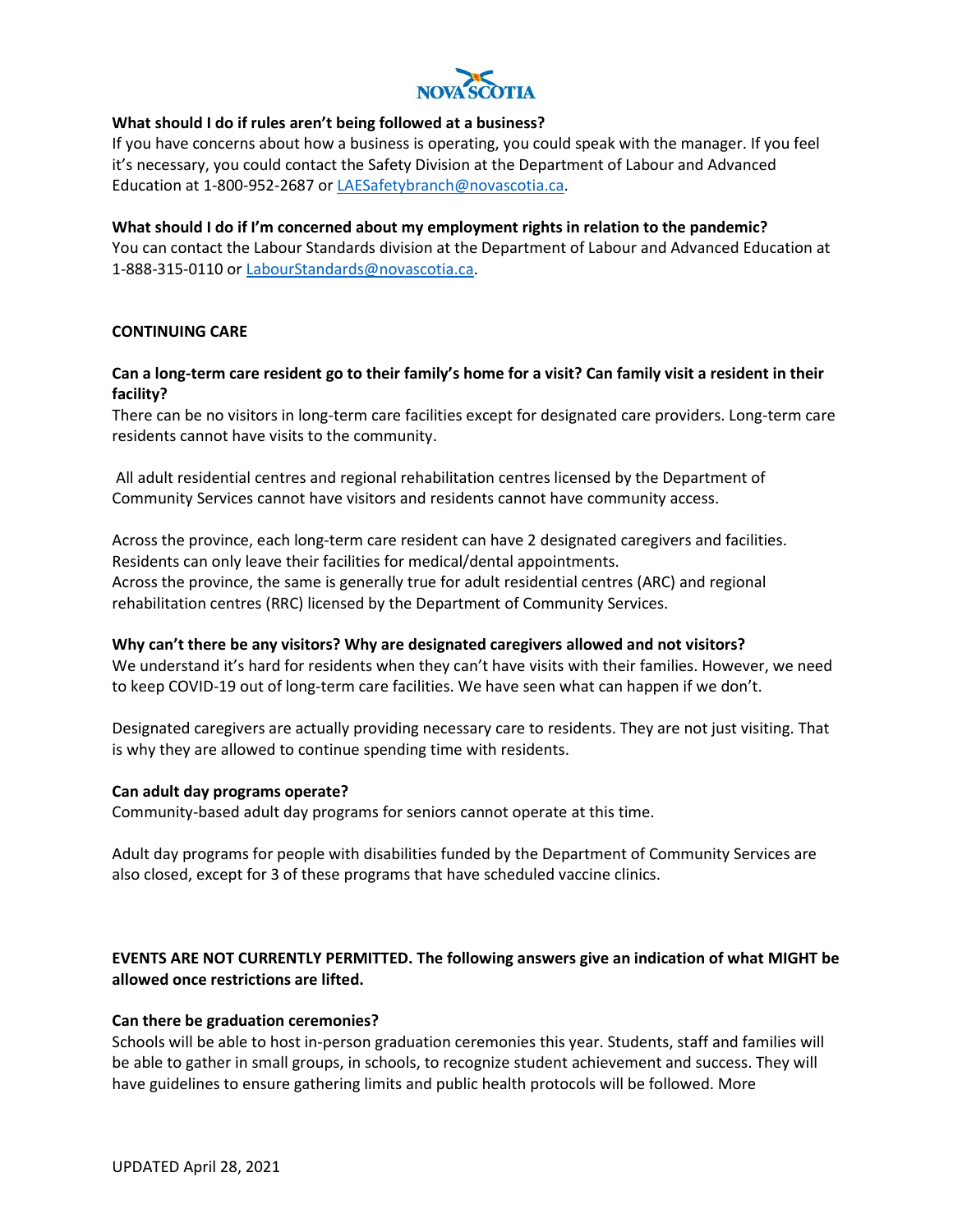

## **What should I do if rules aren't being followed at a business?**

If you have concerns about how a business is operating, you could speak with the manager. If you feel it's necessary, you could contact the Safety Division at the Department of Labour and Advanced Education at 1-800-952-2687 o[r LAESafetybranch@novascotia.ca.](mailto:LAESafetybranch@novascotia.ca)

# **What should I do if I'm concerned about my employment rights in relation to the pandemic?** You can contact the Labour Standards division at the Department of Labour and Advanced Education at 1-888-315-0110 or [LabourStandards@novascotia.ca.](mailto:LabourStandards@novascotia.ca)

## **CONTINUING CARE**

## **Can a long-term care resident go to their family's home for a visit? Can family visit a resident in their facility?**

There can be no visitors in long-term care facilities except for designated care providers. Long-term care residents cannot have visits to the community.

All adult residential centres and regional rehabilitation centres licensed by the Department of Community Services cannot have visitors and residents cannot have community access.

Across the province, each long-term care resident can have 2 designated caregivers and facilities. Residents can only leave their facilities for medical/dental appointments. Across the province, the same is generally true for adult residential centres (ARC) and regional rehabilitation centres (RRC) licensed by the Department of Community Services.

#### **Why can't there be any visitors? Why are designated caregivers allowed and not visitors?**

We understand it's hard for residents when they can't have visits with their families. However, we need to keep COVID-19 out of long-term care facilities. We have seen what can happen if we don't.

Designated caregivers are actually providing necessary care to residents. They are not just visiting. That is why they are allowed to continue spending time with residents.

#### **Can adult day programs operate?**

Community-based adult day programs for seniors cannot operate at this time.

Adult day programs for people with disabilities funded by the Department of Community Services are also closed, except for 3 of these programs that have scheduled vaccine clinics.

# **EVENTS ARE NOT CURRENTLY PERMITTED. The following answers give an indication of what MIGHT be allowed once restrictions are lifted.**

#### **Can there be graduation ceremonies?**

Schools will be able to host in-person graduation ceremonies this year. Students, staff and families will be able to gather in small groups, in schools, to recognize student achievement and success. They will have guidelines to ensure gathering limits and public health protocols will be followed. More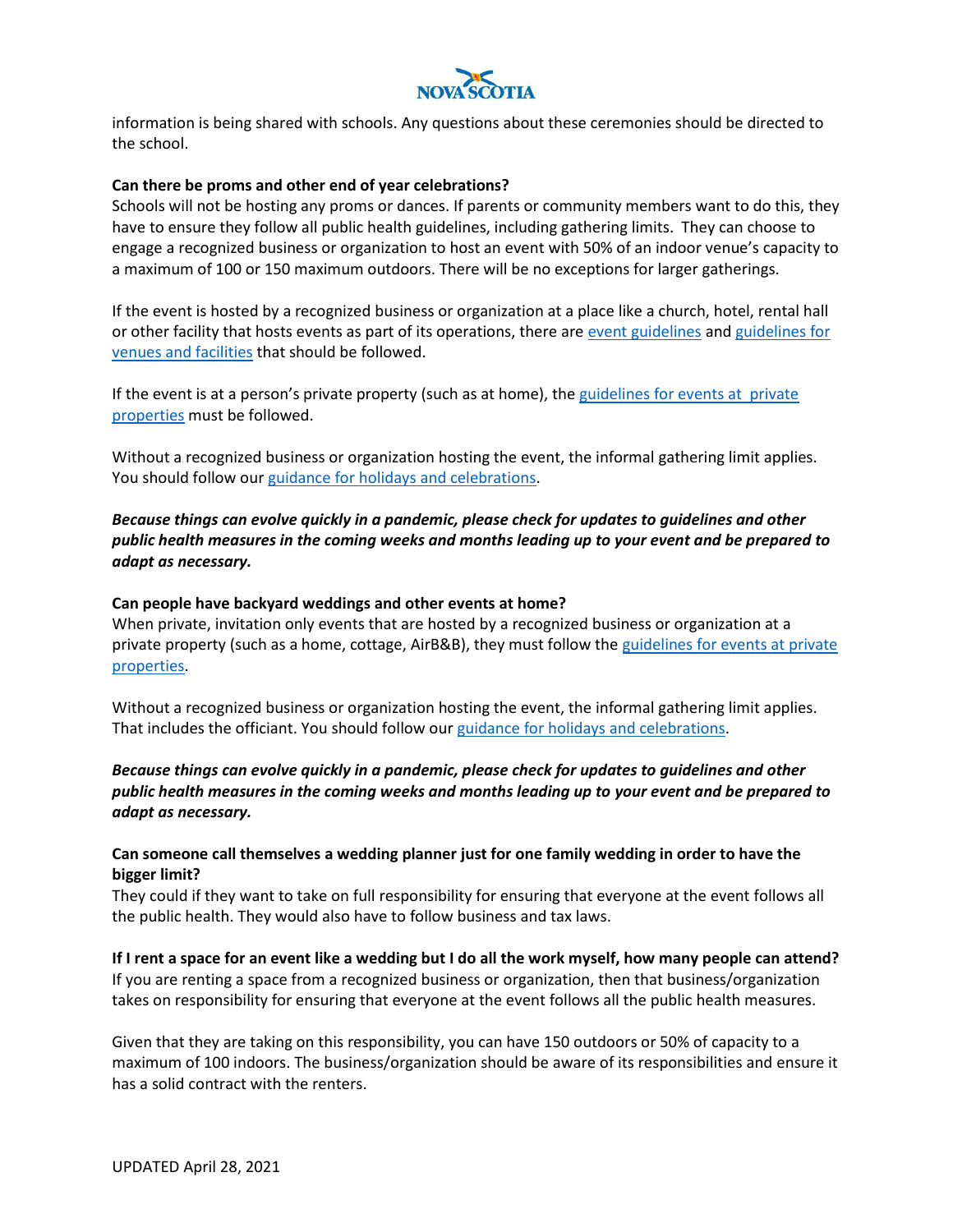

information is being shared with schools. Any questions about these ceremonies should be directed to the school.

#### **Can there be proms and other end of year celebrations?**

Schools will not be hosting any proms or dances. If parents or community members want to do this, they have to ensure they follow all public health guidelines, including gathering limits. They can choose to engage a recognized business or organization to host an event with 50% of an indoor venue's capacity to a maximum of 100 or 150 maximum outdoors. There will be no exceptions for larger gatherings.

If the event is hosted by a recognized business or organization at a place like a church, hotel, rental hall or other facility that hosts events as part of its operations, there ar[e event guidelines](https://novascotia.ca/coronavirus/docs/Events-theatres-and-venues-COVID-19-prevention-guidelines.pdf) and guidelines for [venues and facilities](https://novascotia.ca/coronavirus/docs/Developing-COVID-19-Facility-Plan.pdf) that should be followed.

If the event is at a person's private property (such as at home), the [guidelines for events at private](https://novascotia.ca/coronavirus/docs/private-property-event-guidelines-en.pdf)  [properties](https://novascotia.ca/coronavirus/docs/private-property-event-guidelines-en.pdf) must be followed.

Without a recognized business or organization hosting the event, the informal gathering limit applies. You should follow our [guidance for holidays and celebrations.](https://novascotia.ca/protect-yourself-and-others-from-coronavirus/holidays/)

*Because things can evolve quickly in a pandemic, please check for updates to guidelines and other public health measures in the coming weeks and months leading up to your event and be prepared to adapt as necessary.*

#### **Can people have backyard weddings and other events at home?**

When private, invitation only events that are hosted by a recognized business or organization at a private property (such as a home, cottage, AirB&B), they must follow the guidelines for events at private [properties.](https://novascotia.ca/coronavirus/docs/private-property-event-guidelines-en.pdf)

Without a recognized business or organization hosting the event, the informal gathering limit applies. That includes the officiant. You should follow ou[r guidance for holidays and celebrations.](https://novascotia.ca/protect-yourself-and-others-from-coronavirus/holidays/)

*Because things can evolve quickly in a pandemic, please check for updates to guidelines and other public health measures in the coming weeks and months leading up to your event and be prepared to adapt as necessary.*

## **Can someone call themselves a wedding planner just for one family wedding in order to have the bigger limit?**

They could if they want to take on full responsibility for ensuring that everyone at the event follows all the public health. They would also have to follow business and tax laws.

**If I rent a space for an event like a wedding but I do all the work myself, how many people can attend?** If you are renting a space from a recognized business or organization, then that business/organization takes on responsibility for ensuring that everyone at the event follows all the public health measures.

Given that they are taking on this responsibility, you can have 150 outdoors or 50% of capacity to a maximum of 100 indoors. The business/organization should be aware of its responsibilities and ensure it has a solid contract with the renters.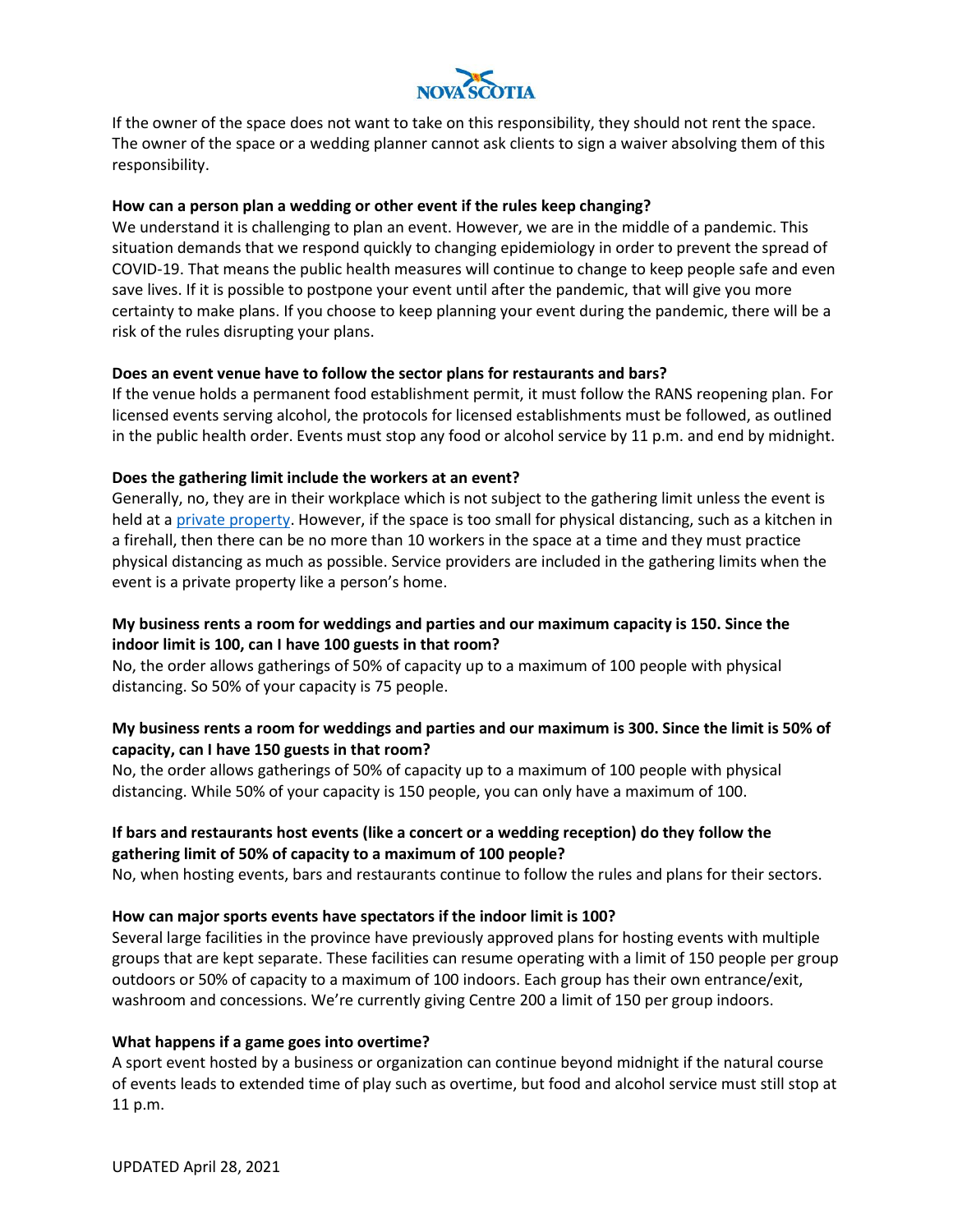

If the owner of the space does not want to take on this responsibility, they should not rent the space. The owner of the space or a wedding planner cannot ask clients to sign a waiver absolving them of this responsibility.

#### **How can a person plan a wedding or other event if the rules keep changing?**

We understand it is challenging to plan an event. However, we are in the middle of a pandemic. This situation demands that we respond quickly to changing epidemiology in order to prevent the spread of COVID-19. That means the public health measures will continue to change to keep people safe and even save lives. If it is possible to postpone your event until after the pandemic, that will give you more certainty to make plans. If you choose to keep planning your event during the pandemic, there will be a risk of the rules disrupting your plans.

## **Does an event venue have to follow the sector plans for restaurants and bars?**

If the venue holds a permanent food establishment permit, it must follow the RANS reopening plan. For licensed events serving alcohol, the protocols for licensed establishments must be followed, as outlined in the public health order. Events must stop any food or alcohol service by 11 p.m. and end by midnight.

## **Does the gathering limit include the workers at an event?**

Generally, no, they are in their workplace which is not subject to the gathering limit unless the event is held at a [private property.](https://novascotia.ca/coronavirus/docs/private-property-event-guidelines-en.pdf) However, if the space is too small for physical distancing, such as a kitchen in a firehall, then there can be no more than 10 workers in the space at a time and they must practice physical distancing as much as possible. Service providers are included in the gathering limits when the event is a private property like a person's home.

# **My business rents a room for weddings and parties and our maximum capacity is 150. Since the indoor limit is 100, can I have 100 guests in that room?**

No, the order allows gatherings of 50% of capacity up to a maximum of 100 people with physical distancing. So 50% of your capacity is 75 people.

# **My business rents a room for weddings and parties and our maximum is 300. Since the limit is 50% of capacity, can I have 150 guests in that room?**

No, the order allows gatherings of 50% of capacity up to a maximum of 100 people with physical distancing. While 50% of your capacity is 150 people, you can only have a maximum of 100.

# **If bars and restaurants host events (like a concert or a wedding reception) do they follow the gathering limit of 50% of capacity to a maximum of 100 people?**

No, when hosting events, bars and restaurants continue to follow the rules and plans for their sectors.

#### **How can major sports events have spectators if the indoor limit is 100?**

Several large facilities in the province have previously approved plans for hosting events with multiple groups that are kept separate. These facilities can resume operating with a limit of 150 people per group outdoors or 50% of capacity to a maximum of 100 indoors. Each group has their own entrance/exit, washroom and concessions. We're currently giving Centre 200 a limit of 150 per group indoors.

#### **What happens if a game goes into overtime?**

A sport event hosted by a business or organization can continue beyond midnight if the natural course of events leads to extended time of play such as overtime, but food and alcohol service must still stop at 11 p.m.